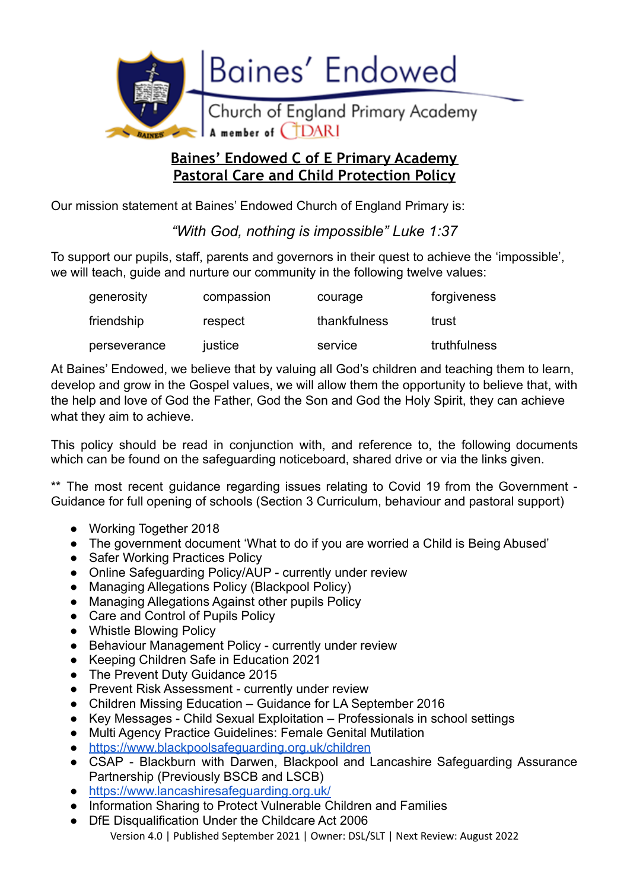

# **Baines' Endowed C of E Primary Academy Pastoral Care and Child Protection Policy**

Our mission statement at Baines' Endowed Church of England Primary is:

*"With God, nothing is impossible" Luke 1:37*

To support our pupils, staff, parents and governors in their quest to achieve the 'impossible', we will teach, quide and nurture our community in the following twelve values:

| generosity   | compassion | courage      | forgiveness  |
|--------------|------------|--------------|--------------|
| friendship   | respect    | thankfulness | trust        |
| perseverance | justice    | service      | truthfulness |

At Baines' Endowed, we believe that by valuing all God's children and teaching them to learn, develop and grow in the Gospel values, we will allow them the opportunity to believe that, with the help and love of God the Father, God the Son and God the Holy Spirit, they can achieve what they aim to achieve.

This policy should be read in conjunction with, and reference to, the following documents which can be found on the safeguarding noticeboard, shared drive or via the links given.

\*\* The most recent guidance regarding issues relating to Covid 19 from the Government -Guidance for full opening of schools (Section 3 Curriculum, behaviour and pastoral support)

- Working Together 2018
- The government document 'What to do if you are worried a Child is Being Abused'
- Safer Working Practices Policy
- Online Safeguarding Policy/AUP currently under review
- Managing Allegations Policy (Blackpool Policy)
- Managing Allegations Against other pupils Policy
- Care and Control of Pupils Policy
- Whistle Blowing Policy
- Behaviour Management Policy currently under review
- Keeping Children Safe in Education 2021
- The Prevent Duty Guidance 2015
- Prevent Risk Assessment currently under review
- Children Missing Education Guidance for LA September 2016
- Key Messages Child Sexual Exploitation Professionals in school settings
- Multi Agency Practice Guidelines: Female Genital Mutilation
- <https://www.blackpoolsafeguarding.org.uk/children>
- CSAP Blackburn with Darwen, Blackpool and Lancashire Safeguarding Assurance Partnership (Previously BSCB and LSCB)
- <https://www.lancashiresafeguarding.org.uk/>
- Information Sharing to Protect Vulnerable Children and Families
- DfE Disqualification Under the Childcare Act 2006 Version 4.0 | Published September 2021 | Owner: DSL/SLT | Next Review: August 2022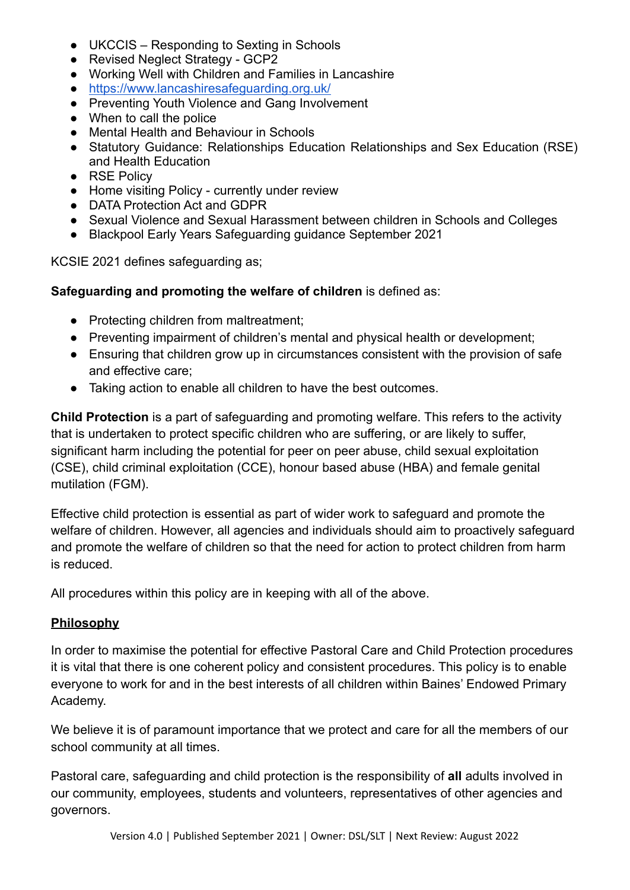- UKCCIS Responding to Sexting in Schools
- Revised Neglect Strategy GCP2
- Working Well with Children and Families in Lancashire
- <https://www.lancashiresafeguarding.org.uk/>
- Preventing Youth Violence and Gang Involvement
- When to call the police
- Mental Health and Behaviour in Schools
- Statutory Guidance: Relationships Education Relationships and Sex Education (RSE) and Health Education
- RSE Policy
- Home visiting Policy currently under review
- **DATA Protection Act and GDPR**
- Sexual Violence and Sexual Harassment between children in Schools and Colleges
- Blackpool Early Years Safeguarding guidance September 2021

KCSIE 2021 defines safeguarding as;

### **Safeguarding and promoting the welfare of children** is defined as:

- Protecting children from maltreatment;
- Preventing impairment of children's mental and physical health or development;
- Ensuring that children grow up in circumstances consistent with the provision of safe and effective care;
- Taking action to enable all children to have the best outcomes.

**Child Protection** is a part of safeguarding and promoting welfare. This refers to the activity that is undertaken to protect specific children who are suffering, or are likely to suffer, significant harm including the potential for peer on peer abuse, child sexual exploitation (CSE), child criminal exploitation (CCE), honour based abuse (HBA) and female genital mutilation (FGM).

Effective child protection is essential as part of wider work to safeguard and promote the welfare of children. However, all agencies and individuals should aim to proactively safeguard and promote the welfare of children so that the need for action to protect children from harm is reduced.

All procedures within this policy are in keeping with all of the above.

## **Philosophy**

In order to maximise the potential for effective Pastoral Care and Child Protection procedures it is vital that there is one coherent policy and consistent procedures. This policy is to enable everyone to work for and in the best interests of all children within Baines' Endowed Primary Academy.

We believe it is of paramount importance that we protect and care for all the members of our school community at all times.

Pastoral care, safeguarding and child protection is the responsibility of **all** adults involved in our community, employees, students and volunteers, representatives of other agencies and governors.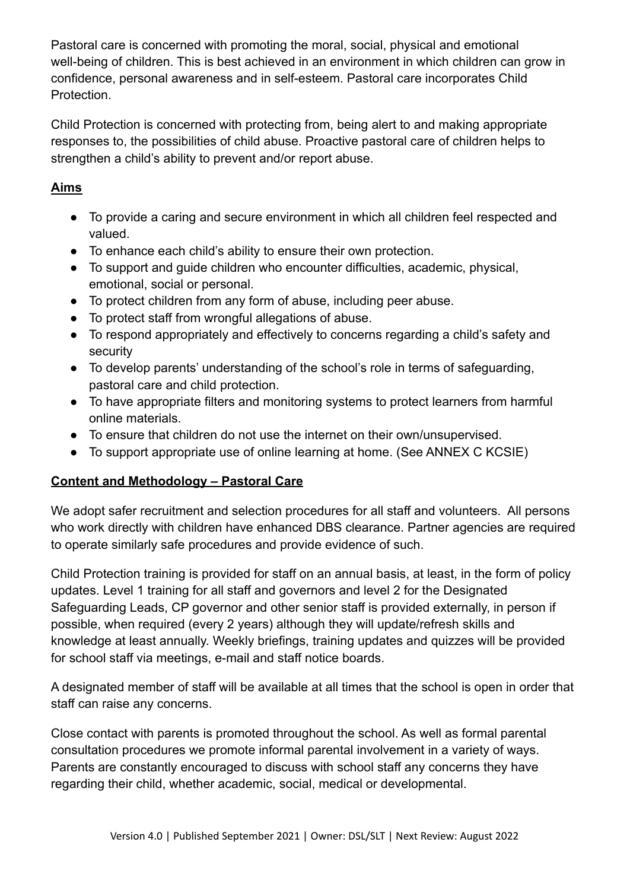Pastoral care is concerned with promoting the moral, social, physical and emotional well-being of children. This is best achieved in an environment in which children can grow in confidence, personal awareness and in self-esteem. Pastoral care incorporates Child Protection.

Child Protection is concerned with protecting from, being alert to and making appropriate responses to, the possibilities of child abuse. Proactive pastoral care of children helps to strengthen a child's ability to prevent and/or report abuse.

## **Aims**

- To provide a caring and secure environment in which all children feel respected and valued.
- To enhance each child's ability to ensure their own protection.
- To support and guide children who encounter difficulties, academic, physical, emotional, social or personal.
- To protect children from any form of abuse, including peer abuse.
- To protect staff from wrongful allegations of abuse.
- To respond appropriately and effectively to concerns regarding a child's safety and security
- To develop parents' understanding of the school's role in terms of safeguarding, pastoral care and child protection.
- To have appropriate filters and monitoring systems to protect learners from harmful online materials.
- To ensure that children do not use the internet on their own/unsupervised.
- To support appropriate use of online learning at home. (See ANNEX C KCSIE)

# **Content and Methodology – Pastoral Care**

We adopt safer recruitment and selection procedures for all staff and volunteers. All persons who work directly with children have enhanced DBS clearance. Partner agencies are required to operate similarly safe procedures and provide evidence of such.

Child Protection training is provided for staff on an annual basis, at least, in the form of policy updates. Level 1 training for all staff and governors and level 2 for the Designated Safeguarding Leads, CP governor and other senior staff is provided externally, in person if possible, when required (every 2 years) although they will update/refresh skills and knowledge at least annually. Weekly briefings, training updates and quizzes will be provided for school staff via meetings, e-mail and staff notice boards.

A designated member of staff will be available at all times that the school is open in order that staff can raise any concerns.

Close contact with parents is promoted throughout the school. As well as formal parental consultation procedures we promote informal parental involvement in a variety of ways. Parents are constantly encouraged to discuss with school staff any concerns they have regarding their child, whether academic, social, medical or developmental.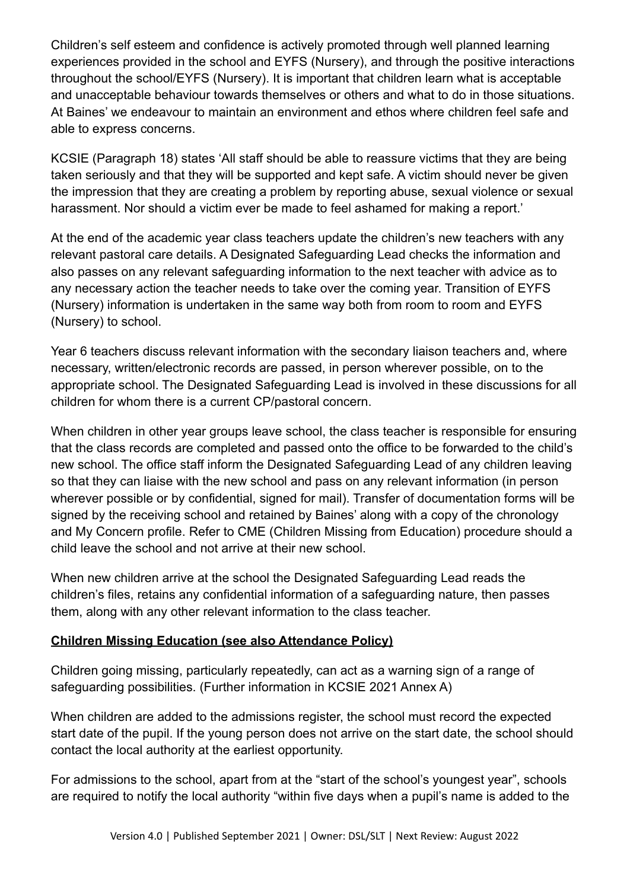Children's self esteem and confidence is actively promoted through well planned learning experiences provided in the school and EYFS (Nursery), and through the positive interactions throughout the school/EYFS (Nursery). It is important that children learn what is acceptable and unacceptable behaviour towards themselves or others and what to do in those situations. At Baines' we endeavour to maintain an environment and ethos where children feel safe and able to express concerns.

KCSIE (Paragraph 18) states 'All staff should be able to reassure victims that they are being taken seriously and that they will be supported and kept safe. A victim should never be given the impression that they are creating a problem by reporting abuse, sexual violence or sexual harassment. Nor should a victim ever be made to feel ashamed for making a report.'

At the end of the academic year class teachers update the children's new teachers with any relevant pastoral care details. A Designated Safeguarding Lead checks the information and also passes on any relevant safeguarding information to the next teacher with advice as to any necessary action the teacher needs to take over the coming year. Transition of EYFS (Nursery) information is undertaken in the same way both from room to room and EYFS (Nursery) to school.

Year 6 teachers discuss relevant information with the secondary liaison teachers and, where necessary, written/electronic records are passed, in person wherever possible, on to the appropriate school. The Designated Safeguarding Lead is involved in these discussions for all children for whom there is a current CP/pastoral concern.

When children in other year groups leave school, the class teacher is responsible for ensuring that the class records are completed and passed onto the office to be forwarded to the child's new school. The office staff inform the Designated Safeguarding Lead of any children leaving so that they can liaise with the new school and pass on any relevant information (in person wherever possible or by confidential, signed for mail). Transfer of documentation forms will be signed by the receiving school and retained by Baines' along with a copy of the chronology and My Concern profile. Refer to CME (Children Missing from Education) procedure should a child leave the school and not arrive at their new school.

When new children arrive at the school the Designated Safeguarding Lead reads the children's files, retains any confidential information of a safeguarding nature, then passes them, along with any other relevant information to the class teacher.

#### **Children Missing Education (see also Attendance Policy)**

Children going missing, particularly repeatedly, can act as a warning sign of a range of safeguarding possibilities. (Further information in KCSIE 2021 Annex A)

When children are added to the admissions register, the school must record the expected start date of the pupil. If the young person does not arrive on the start date, the school should contact the local authority at the earliest opportunity.

For admissions to the school, apart from at the "start of the school's youngest year", schools are required to notify the local authority "within five days when a pupil's name is added to the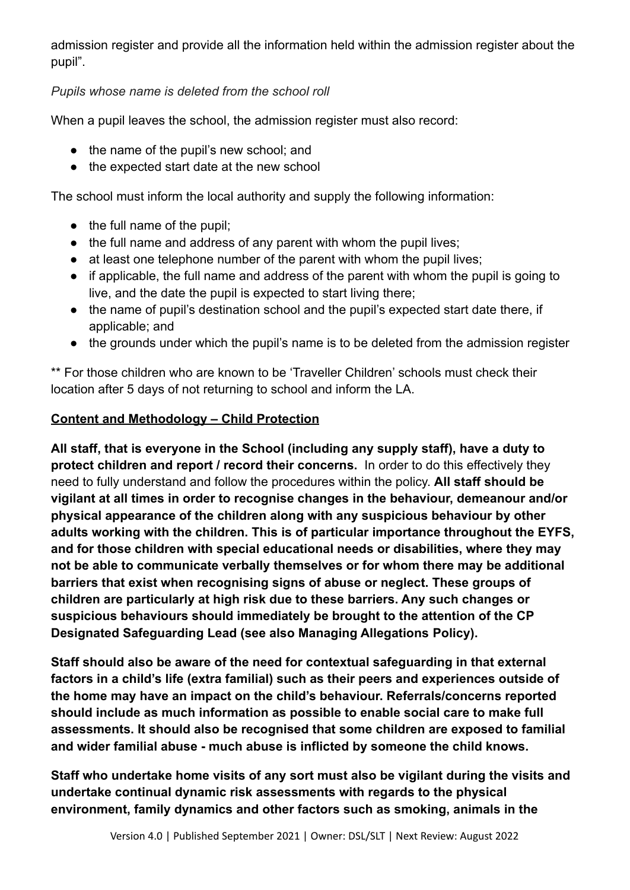admission register and provide all the information held within the admission register about the pupil".

## *Pupils whose name is deleted from the school roll*

When a pupil leaves the school, the admission register must also record:

- the name of the pupil's new school; and
- the expected start date at the new school

The school must inform the local authority and supply the following information:

- the full name of the pupil:
- the full name and address of any parent with whom the pupil lives;
- at least one telephone number of the parent with whom the pupil lives;
- if applicable, the full name and address of the parent with whom the pupil is going to live, and the date the pupil is expected to start living there;
- the name of pupil's destination school and the pupil's expected start date there, if applicable; and
- the grounds under which the pupil's name is to be deleted from the admission register

\*\* For those children who are known to be 'Traveller Children' schools must check their location after 5 days of not returning to school and inform the LA.

#### **Content and Methodology – Child Protection**

**All staff, that is everyone in the School (including any supply staff), have a duty to protect children and report / record their concerns.** In order to do this effectively they need to fully understand and follow the procedures within the policy. **All staff should be vigilant at all times in order to recognise changes in the behaviour, demeanour and/or physical appearance of the children along with any suspicious behaviour by other adults working with the children. This is of particular importance throughout the EYFS, and for those children with special educational needs or disabilities, where they may not be able to communicate verbally themselves or for whom there may be additional barriers that exist when recognising signs of abuse or neglect. These groups of children are particularly at high risk due to these barriers. Any such changes or suspicious behaviours should immediately be brought to the attention of the CP Designated Safeguarding Lead (see also Managing Allegations Policy).**

**Staff should also be aware of the need for contextual safeguarding in that external factors in a child's life (extra familial) such as their peers and experiences outside of the home may have an impact on the child's behaviour. Referrals/concerns reported should include as much information as possible to enable social care to make full assessments. It should also be recognised that some children are exposed to familial and wider familial abuse - much abuse is inflicted by someone the child knows.**

**Staff who undertake home visits of any sort must also be vigilant during the visits and undertake continual dynamic risk assessments with regards to the physical environment, family dynamics and other factors such as smoking, animals in the**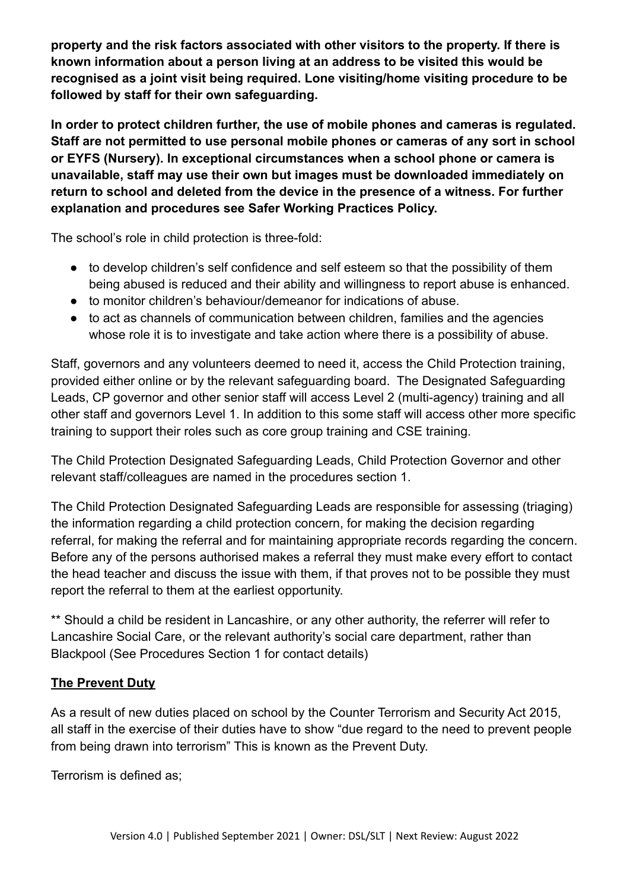**property and the risk factors associated with other visitors to the property. If there is known information about a person living at an address to be visited this would be recognised as a joint visit being required. Lone visiting/home visiting procedure to be followed by staff for their own safeguarding.**

**In order to protect children further, the use of mobile phones and cameras is regulated. Staff are not permitted to use personal mobile phones or cameras of any sort in school or EYFS (Nursery). In exceptional circumstances when a school phone or camera is unavailable, staff may use their own but images must be downloaded immediately on return to school and deleted from the device in the presence of a witness. For further explanation and procedures see Safer Working Practices Policy.**

The school's role in child protection is three-fold:

- to develop children's self confidence and self esteem so that the possibility of them being abused is reduced and their ability and willingness to report abuse is enhanced.
- to monitor children's behaviour/demeanor for indications of abuse.
- to act as channels of communication between children, families and the agencies whose role it is to investigate and take action where there is a possibility of abuse.

Staff, governors and any volunteers deemed to need it, access the Child Protection training, provided either online or by the relevant safeguarding board. The Designated Safeguarding Leads, CP governor and other senior staff will access Level 2 (multi-agency) training and all other staff and governors Level 1. In addition to this some staff will access other more specific training to support their roles such as core group training and CSE training.

The Child Protection Designated Safeguarding Leads, Child Protection Governor and other relevant staff/colleagues are named in the procedures section 1.

The Child Protection Designated Safeguarding Leads are responsible for assessing (triaging) the information regarding a child protection concern, for making the decision regarding referral, for making the referral and for maintaining appropriate records regarding the concern. Before any of the persons authorised makes a referral they must make every effort to contact the head teacher and discuss the issue with them, if that proves not to be possible they must report the referral to them at the earliest opportunity.

\*\* Should a child be resident in Lancashire, or any other authority, the referrer will refer to Lancashire Social Care, or the relevant authority's social care department, rather than Blackpool (See Procedures Section 1 for contact details)

#### **The Prevent Duty**

As a result of new duties placed on school by the Counter Terrorism and Security Act 2015, all staff in the exercise of their duties have to show "due regard to the need to prevent people from being drawn into terrorism" This is known as the Prevent Duty.

Terrorism is defined as;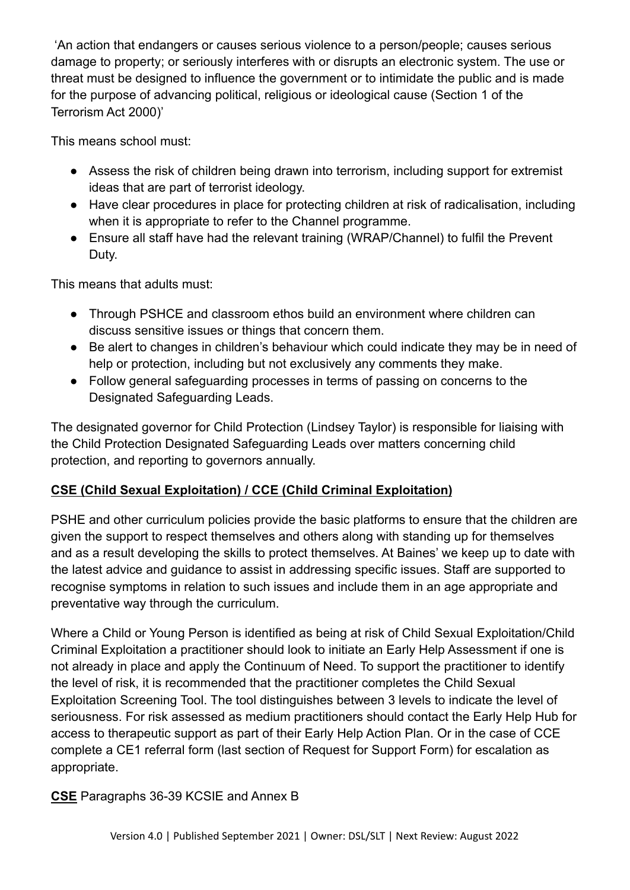'An action that endangers or causes serious violence to a person/people; causes serious damage to property; or seriously interferes with or disrupts an electronic system. The use or threat must be designed to influence the government or to intimidate the public and is made for the purpose of advancing political, religious or ideological cause (Section 1 of the Terrorism Act 2000)'

This means school must:

- Assess the risk of children being drawn into terrorism, including support for extremist ideas that are part of terrorist ideology.
- Have clear procedures in place for protecting children at risk of radicalisation, including when it is appropriate to refer to the Channel programme.
- Ensure all staff have had the relevant training (WRAP/Channel) to fulfil the Prevent Duty.

This means that adults must:

- Through PSHCE and classroom ethos build an environment where children can discuss sensitive issues or things that concern them.
- Be alert to changes in children's behaviour which could indicate they may be in need of help or protection, including but not exclusively any comments they make.
- Follow general safeguarding processes in terms of passing on concerns to the Designated Safeguarding Leads.

The designated governor for Child Protection (Lindsey Taylor) is responsible for liaising with the Child Protection Designated Safeguarding Leads over matters concerning child protection, and reporting to governors annually.

# **CSE (Child Sexual Exploitation) / CCE (Child Criminal Exploitation)**

PSHE and other curriculum policies provide the basic platforms to ensure that the children are given the support to respect themselves and others along with standing up for themselves and as a result developing the skills to protect themselves. At Baines' we keep up to date with the latest advice and guidance to assist in addressing specific issues. Staff are supported to recognise symptoms in relation to such issues and include them in an age appropriate and preventative way through the curriculum.

Where a Child or Young Person is identified as being at risk of Child Sexual Exploitation/Child Criminal Exploitation a practitioner should look to initiate an Early Help Assessment if one is not already in place and apply the Continuum of Need. To support the practitioner to identify the level of risk, it is recommended that the practitioner completes the Child Sexual Exploitation Screening Tool. The tool distinguishes between 3 levels to indicate the level of seriousness. For risk assessed as medium practitioners should contact the Early Help Hub for access to therapeutic support as part of their Early Help Action Plan. Or in the case of CCE complete a CE1 referral form (last section of Request for Support Form) for escalation as appropriate.

# **CSE** Paragraphs 36-39 KCSIE and Annex B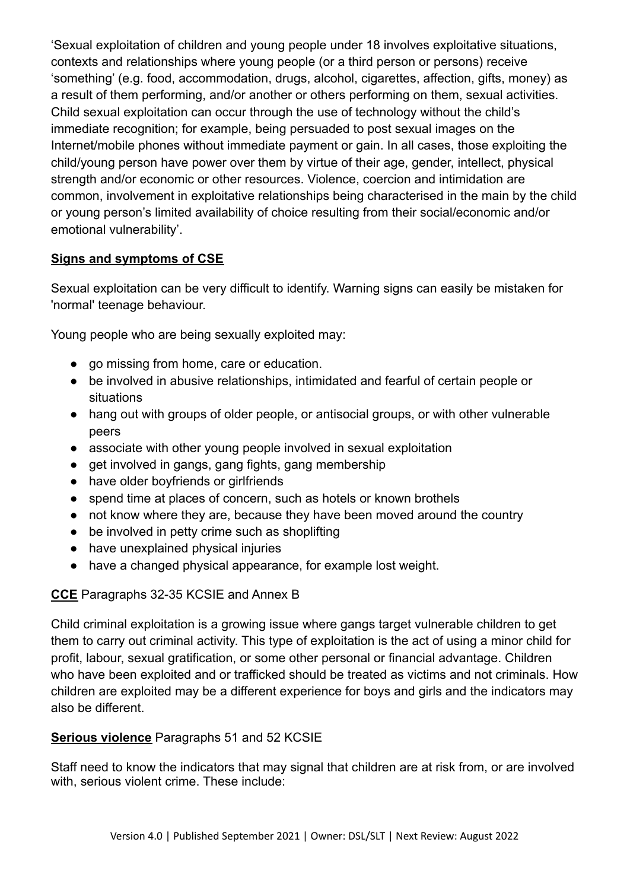'Sexual exploitation of children and young people under 18 involves exploitative situations, contexts and relationships where young people (or a third person or persons) receive 'something' (e.g. food, accommodation, drugs, alcohol, cigarettes, affection, gifts, money) as a result of them performing, and/or another or others performing on them, sexual activities. Child sexual exploitation can occur through the use of technology without the child's immediate recognition; for example, being persuaded to post sexual images on the Internet/mobile phones without immediate payment or gain. In all cases, those exploiting the child/young person have power over them by virtue of their age, gender, intellect, physical strength and/or economic or other resources. Violence, coercion and intimidation are common, involvement in exploitative relationships being characterised in the main by the child or young person's limited availability of choice resulting from their social/economic and/or emotional vulnerability'.

### **Signs and symptoms of CSE**

Sexual exploitation can be very difficult to identify. Warning signs can easily be mistaken for 'normal' teenage behaviour.

Young people who are being sexually exploited may:

- go missing from home, care or education.
- be involved in abusive relationships, intimidated and fearful of certain people or situations
- hang out with groups of older people, or antisocial groups, or with other vulnerable peers
- associate with other young people involved in sexual exploitation
- get involved in gangs, gang fights, gang membership
- have older boyfriends or girlfriends
- spend time at places of concern, such as hotels or known brothels
- not know where they are, because they have been moved around the country
- be involved in petty crime such as shoplifting
- have unexplained physical injuries
- have a changed physical appearance, for example lost weight.

#### **CCE** Paragraphs 32-35 KCSIE and Annex B

Child criminal exploitation is a growing issue where gangs target vulnerable children to get them to carry out criminal activity. This type of exploitation is the act of using a minor child for profit, labour, sexual gratification, or some other personal or financial advantage. Children who have been exploited and or trafficked should be treated as victims and not criminals. How children are exploited may be a different experience for boys and girls and the indicators may also be different.

#### **Serious violence** Paragraphs 51 and 52 KCSIE

Staff need to know the indicators that may signal that children are at risk from, or are involved with, serious violent crime. These include: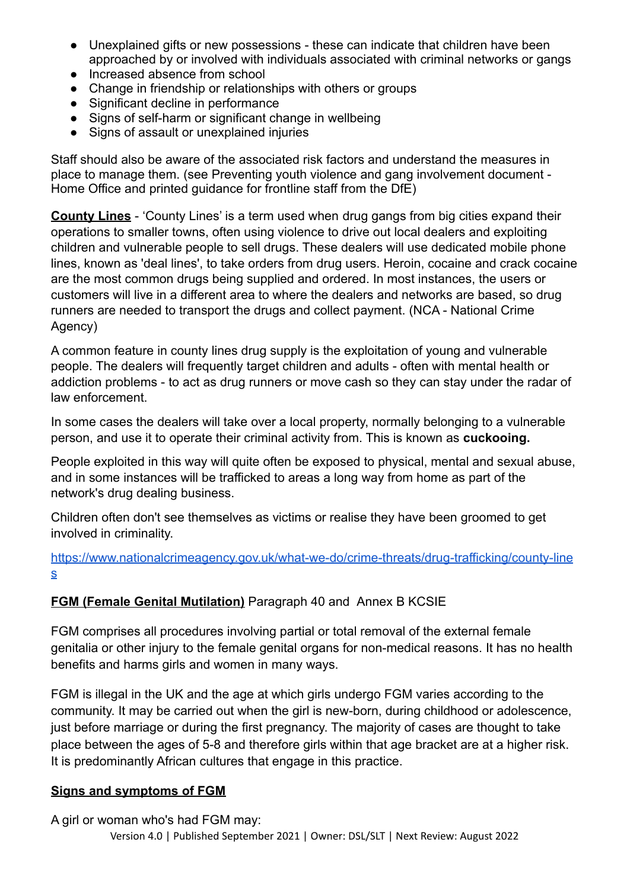- Unexplained gifts or new possessions these can indicate that children have been approached by or involved with individuals associated with criminal networks or gangs
- Increased absence from school
- Change in friendship or relationships with others or groups
- Significant decline in performance
- Signs of self-harm or significant change in wellbeing
- Signs of assault or unexplained injuries

Staff should also be aware of the associated risk factors and understand the measures in place to manage them. (see Preventing youth violence and gang involvement document - Home Office and printed guidance for frontline staff from the DfE)

**County Lines** - 'County Lines' is a term used when drug gangs from big cities expand their operations to smaller towns, often using violence to drive out local dealers and exploiting children and vulnerable people to sell drugs. These dealers will use dedicated mobile phone lines, known as 'deal lines', to take orders from drug users. Heroin, cocaine and crack cocaine are the most common drugs being supplied and ordered. In most instances, the users or customers will live in a different area to where the dealers and networks are based, so drug runners are needed to transport the drugs and collect payment. (NCA - National Crime Agency)

A common feature in county lines drug supply is the exploitation of young and vulnerable people. The dealers will frequently target children and adults - often with mental health or addiction problems - to act as drug runners or move cash so they can stay under the radar of law enforcement.

In some cases the dealers will take over a local property, normally belonging to a vulnerable person, and use it to operate their criminal activity from. This is known as **cuckooing.**

People exploited in this way will quite often be exposed to physical, mental and sexual abuse, and in some instances will be trafficked to areas a long way from home as part of the network's drug dealing business.

Children often don't see themselves as victims or realise they have been groomed to get involved in criminality.

[https://www.nationalcrimeagency.gov.uk/what-we-do/crime-threats/drug-trafficking/county-line](https://www.nationalcrimeagency.gov.uk/what-we-do/crime-threats/drug-trafficking/county-lines) [s](https://www.nationalcrimeagency.gov.uk/what-we-do/crime-threats/drug-trafficking/county-lines)

## **FGM (Female Genital Mutilation)** Paragraph 40 and Annex B KCSIE

FGM comprises all procedures involving partial or total removal of the external female genitalia or other injury to the female genital organs for non-medical reasons. It has no health benefits and harms girls and women in many ways.

FGM is illegal in the UK and the age at which girls undergo FGM varies according to the community. It may be carried out when the girl is new-born, during childhood or adolescence, just before marriage or during the first pregnancy. The majority of cases are thought to take place between the ages of 5-8 and therefore girls within that age bracket are at a higher risk. It is predominantly African cultures that engage in this practice.

#### **Signs and symptoms of FGM**

A girl or woman who's had FGM may:

Version 4.0 | Published September 2021 | Owner: DSL/SLT | Next Review: August 2022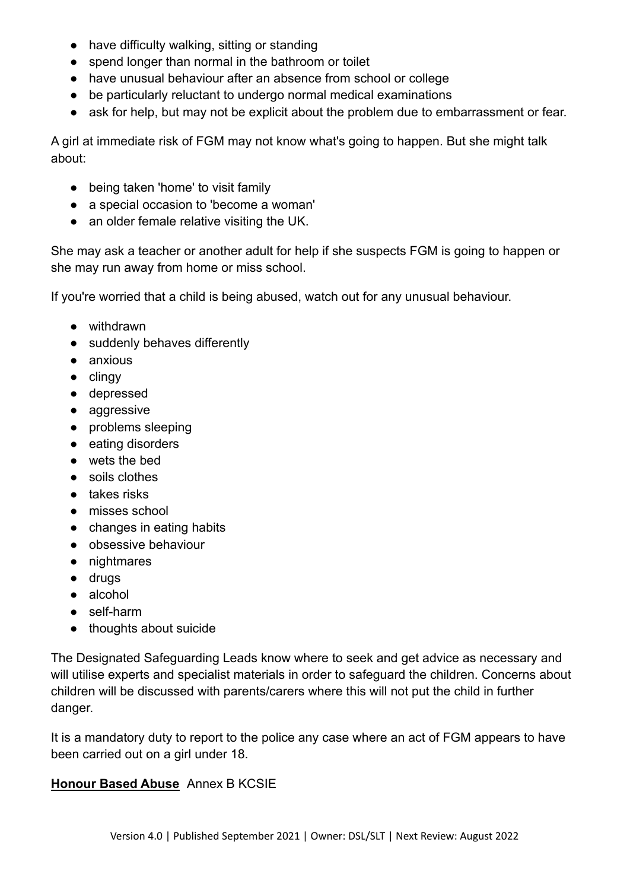- have difficulty walking, sitting or standing
- spend longer than normal in the bathroom or toilet
- have unusual behaviour after an absence from school or college
- be particularly reluctant to undergo normal medical examinations
- ask for help, but may not be explicit about the problem due to embarrassment or fear.

A girl at immediate risk of FGM may not know what's going to happen. But she might talk about:

- being taken 'home' to visit family
- a special occasion to 'become a woman'
- an older female relative visiting the UK.

She may ask a teacher or another adult for help if she suspects FGM is going to happen or she may run away from home or miss school.

If you're worried that a child is being abused, watch out for any unusual behaviour.

- withdrawn
- suddenly behaves differently
- anxious
- clingy
- depressed
- aggressive
- problems sleeping
- eating disorders
- wets the bed
- soils clothes
- takes risks
- misses school
- changes in eating habits
- obsessive behaviour
- nightmares
- drugs
- alcohol
- self-harm
- thoughts about suicide

The Designated Safeguarding Leads know where to seek and get advice as necessary and will utilise experts and specialist materials in order to safeguard the children. Concerns about children will be discussed with parents/carers where this will not put the child in further danger.

It is a mandatory duty to report to the police any case where an act of FGM appears to have been carried out on a girl under 18.

## **Honour Based Abuse** Annex B KCSIE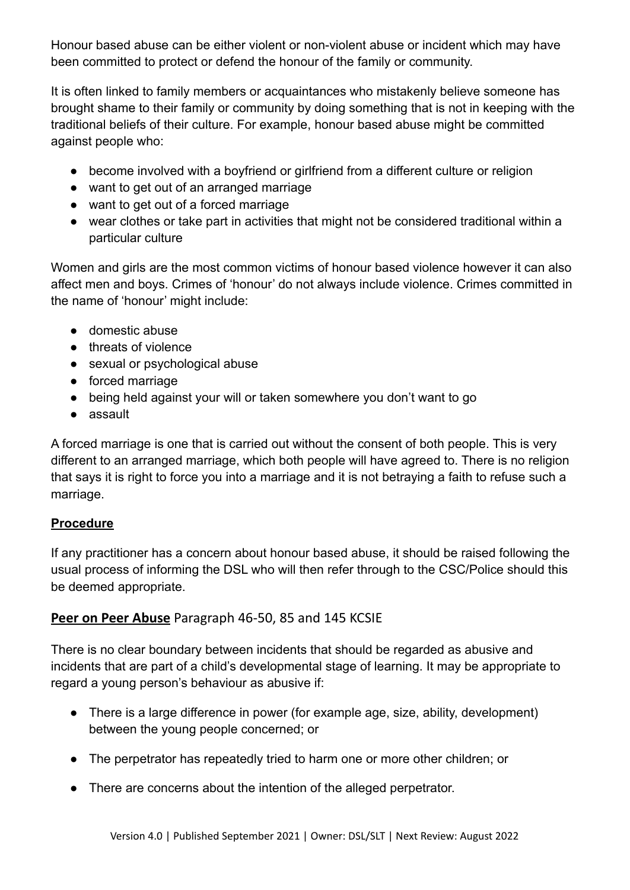Honour based abuse can be either violent or non-violent abuse or incident which may have been committed to protect or defend the honour of the family or community.

It is often linked to family members or acquaintances who mistakenly believe someone has brought shame to their family or community by doing something that is not in keeping with the traditional beliefs of their culture. For example, honour based abuse might be committed against people who:

- become involved with a bovfriend or girlfriend from a different culture or religion
- want to get out of an arranged marriage
- want to get out of a forced marriage
- wear clothes or take part in activities that might not be considered traditional within a particular culture

Women and girls are the most common victims of honour based violence however it can also affect men and boys. Crimes of 'honour' do not always include violence. Crimes committed in the name of 'honour' might include:

- domestic abuse
- threats of violence
- sexual or psychological abuse
- forced marriage
- being held against your will or taken somewhere you don't want to go
- assault

A forced marriage is one that is carried out without the consent of both people. This is very different to an arranged marriage, which both people will have agreed to. There is no religion that says it is right to force you into a marriage and it is not betraying a faith to refuse such a marriage.

# **Procedure**

If any practitioner has a concern about honour based abuse, it should be raised following the usual process of informing the DSL who will then refer through to the CSC/Police should this be deemed appropriate.

# **Peer on Peer Abuse** Paragraph 46-50, 85 and 145 KCSIE

There is no clear boundary between incidents that should be regarded as abusive and incidents that are part of a child's developmental stage of learning. It may be appropriate to regard a young person's behaviour as abusive if:

- There is a large difference in power (for example age, size, ability, development) between the young people concerned; or
- The perpetrator has repeatedly tried to harm one or more other children; or
- There are concerns about the intention of the alleged perpetrator.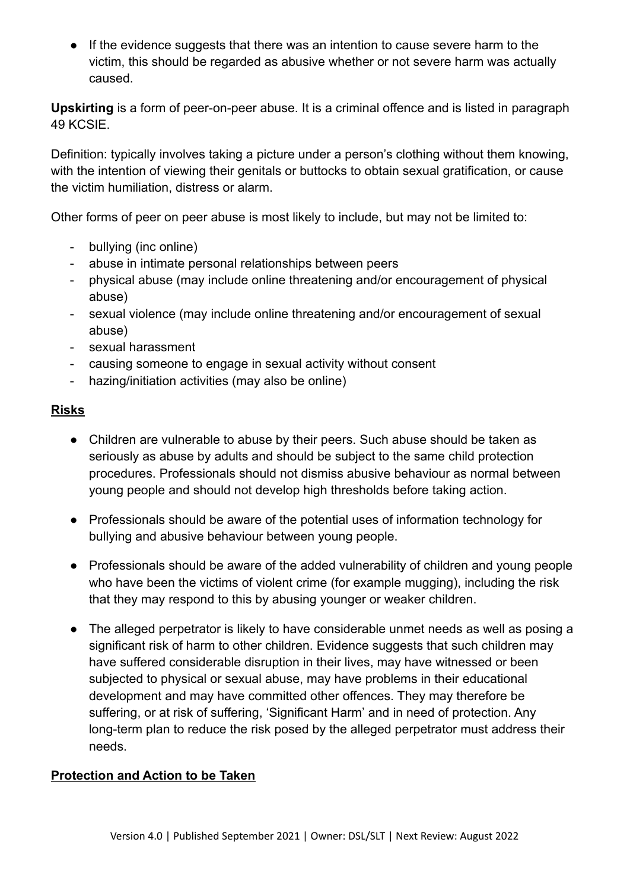● If the evidence suggests that there was an intention to cause severe harm to the victim, this should be regarded as abusive whether or not severe harm was actually caused.

**Upskirting** is a form of peer-on-peer abuse. It is a criminal offence and is listed in paragraph 49 KCSIE.

Definition: typically involves taking a picture under a person's clothing without them knowing, with the intention of viewing their genitals or buttocks to obtain sexual gratification, or cause the victim humiliation, distress or alarm.

Other forms of peer on peer abuse is most likely to include, but may not be limited to:

- bullying (inc online)
- abuse in intimate personal relationships between peers
- physical abuse (may include online threatening and/or encouragement of physical abuse)
- sexual violence (may include online threatening and/or encouragement of sexual abuse)
- sexual harassment
- causing someone to engage in sexual activity without consent
- hazing/initiation activities (may also be online)

## **Risks**

- Children are vulnerable to abuse by their peers. Such abuse should be taken as seriously as abuse by adults and should be subject to the same child protection procedures. Professionals should not dismiss abusive behaviour as normal between young people and should not develop high thresholds before taking action.
- Professionals should be aware of the potential uses of information technology for bullying and abusive behaviour between young people.
- Professionals should be aware of the added vulnerability of children and young people who have been the victims of violent crime (for example mugging), including the risk that they may respond to this by abusing younger or weaker children.
- The alleged perpetrator is likely to have considerable unmet needs as well as posing a significant risk of harm to other children. Evidence suggests that such children may have suffered considerable disruption in their lives, may have witnessed or been subjected to physical or [sexual abuse,](http://trixresources.proceduresonline.com/nat_key/keywords/sexual_abuse.html) may have problems in their educational development and may have committed other offences. They may therefore be suffering, or at risk of suffering, ['Significant Harm'](http://trixresources.proceduresonline.com/nat_key/keywords/significant_harm.html) and in need of protection. Any long-term plan to reduce the risk posed by the alleged perpetrator must address their needs.

#### **Protection and Action to be Taken**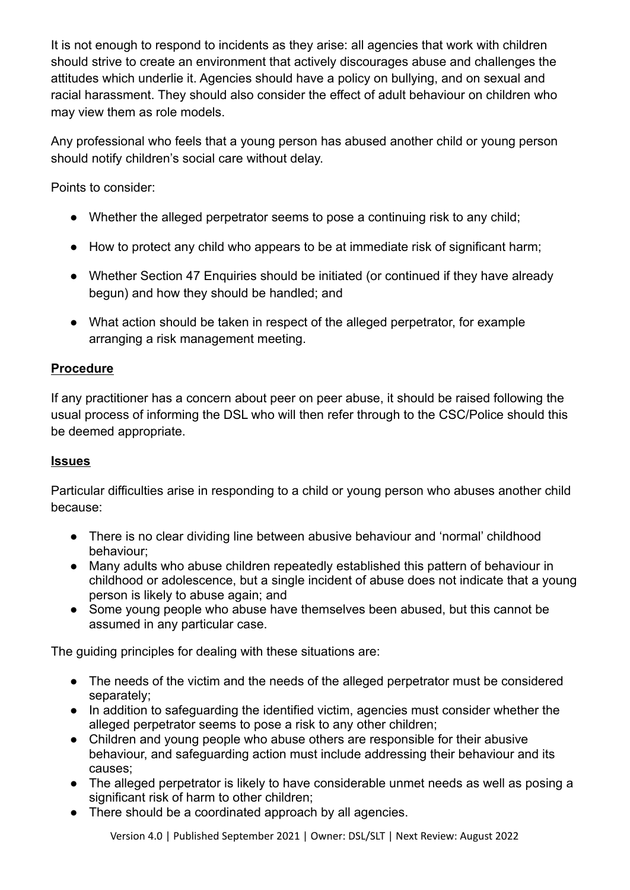It is not enough to respond to incidents as they arise: all agencies that work with children should strive to create an environment that actively discourages abuse and challenges the attitudes which underlie it. Agencies should have a policy on bullying, and on sexual and racial harassment. They should also consider the effect of adult behaviour on children who may view them as role models.

Any professional who feels that a young person has abused another child or young person should notify children's social care without delay.

Points to consider:

- Whether the alleged perpetrator seems to pose a continuing risk to any child;
- How to protect any child who appears to be at immediate risk of significant harm;
- Whether [Section 47 Enquiries](http://trixresources.proceduresonline.com/nat_key/keywords/sec_47_enq.html) should be initiated (or continued if they have already begun) and how they should be handled; and
- What action should be taken in respect of the alleged perpetrator, for example arranging a risk management meeting.

# **Procedure**

If any practitioner has a concern about peer on peer abuse, it should be raised following the usual process of informing the DSL who will then refer through to the CSC/Police should this be deemed appropriate.

# **Issues**

Particular difficulties arise in responding to a child or young person who abuses another child because:

- There is no clear dividing line between abusive behaviour and 'normal' childhood behaviour;
- Many adults who abuse children repeatedly established this pattern of behaviour in childhood or adolescence, but a single incident of abuse does not indicate that a young person is likely to abuse again; and
- Some young people who abuse have themselves been abused, but this cannot be assumed in any particular case.

The guiding principles for dealing with these situations are:

- The needs of the victim and the needs of the alleged perpetrator must be considered separately;
- In addition to safeguarding the identified victim, agencies must consider whether the alleged perpetrator seems to pose a risk to any other children;
- Children and young people who abuse others are responsible for their abusive behaviour, and safeguarding action must include addressing their behaviour and its causes;
- The alleged perpetrator is likely to have considerable unmet needs as well as posing a significant risk of harm to other children;
- There should be a coordinated approach by all agencies.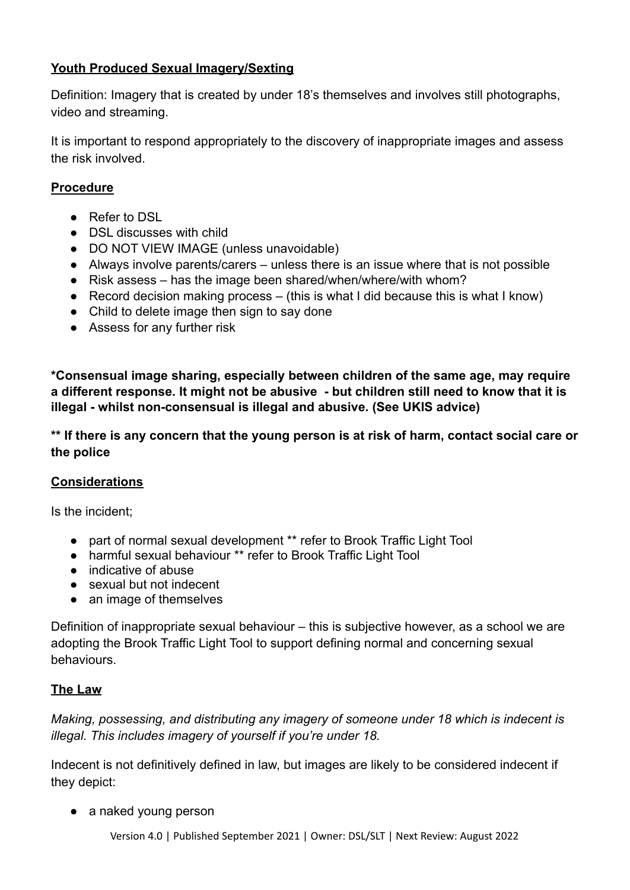## **Youth Produced Sexual Imagery/Sexting**

Definition: Imagery that is created by under 18's themselves and involves still photographs, video and streaming.

It is important to respond appropriately to the discovery of inappropriate images and assess the risk involved.

### **Procedure**

- Refer to DSL
- DSL discusses with child
- DO NOT VIEW IMAGE (unless unavoidable)
- Always involve parents/carers unless there is an issue where that is not possible
- Risk assess has the image been shared/when/where/with whom?
- Record decision making process (this is what I did because this is what I know)
- Child to delete image then sign to say done
- Assess for any further risk

**\*Consensual image sharing, especially between children of the same age, may require a different response. It might not be abusive - but children still need to know that it is illegal - whilst non-consensual is illegal and abusive. (See UKIS advice)**

**\*\* If there is any concern that the young person is at risk of harm, contact social care or the police**

#### **Considerations**

Is the incident;

- part of normal sexual development \*\* refer to Brook Traffic Light Tool
- harmful sexual behaviour \*\* refer to Brook Traffic Light Tool
- indicative of abuse
- sexual but not indecent
- an image of themselves

Definition of inappropriate sexual behaviour – this is subjective however, as a school we are adopting the Brook Traffic Light Tool to support defining normal and concerning sexual behaviours.

## **The Law**

*Making, possessing, and distributing any imagery of someone under 18 which is indecent is illegal. This includes imagery of yourself if you're under 18.*

Indecent is not definitively defined in law, but images are likely to be considered indecent if they depict:

• a naked young person

Version 4.0 | Published September 2021 | Owner: DSL/SLT | Next Review: August 2022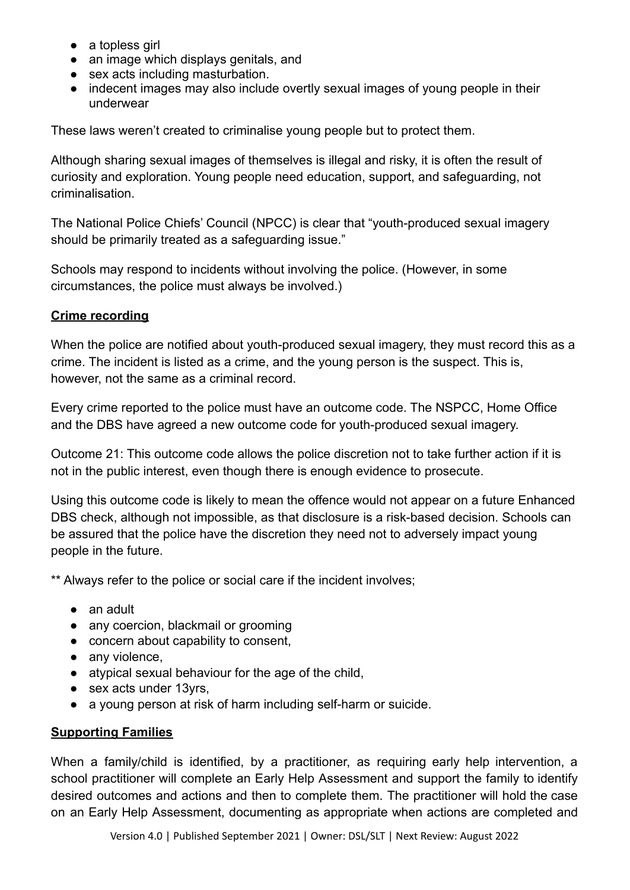- a topless girl
- an image which displays genitals, and
- sex acts including masturbation.
- indecent images may also include overtly sexual images of young people in their underwear

These laws weren't created to criminalise young people but to protect them.

Although sharing sexual images of themselves is illegal and risky, it is often the result of curiosity and exploration. Young people need education, support, and safeguarding, not criminalisation.

The National Police Chiefs' Council (NPCC) is clear that "youth-produced sexual imagery should be primarily treated as a safeguarding issue."

Schools may respond to incidents without involving the police. (However, in some circumstances, the police must always be involved.)

### **Crime recording**

When the police are notified about youth-produced sexual imagery, they must record this as a crime. The incident is listed as a crime, and the young person is the suspect. This is, however, not the same as a criminal record.

Every crime reported to the police must have an outcome code. The NSPCC, Home Office and the DBS have agreed a new outcome code for youth-produced sexual imagery.

Outcome 21: This outcome code allows the police discretion not to take further action if it is not in the public interest, even though there is enough evidence to prosecute.

Using this outcome code is likely to mean the offence would not appear on a future Enhanced DBS check, although not impossible, as that disclosure is a risk-based decision. Schools can be assured that the police have the discretion they need not to adversely impact young people in the future.

\*\* Always refer to the police or social care if the incident involves;

- an adult
- any coercion, blackmail or grooming
- concern about capability to consent,
- any violence.
- atypical sexual behaviour for the age of the child,
- sex acts under 13yrs,
- a young person at risk of harm including self-harm or suicide.

#### **Supporting Families**

When a family/child is identified, by a practitioner, as requiring early help intervention, a school practitioner will complete an Early Help Assessment and support the family to identify desired outcomes and actions and then to complete them. The practitioner will hold the case on an Early Help Assessment, documenting as appropriate when actions are completed and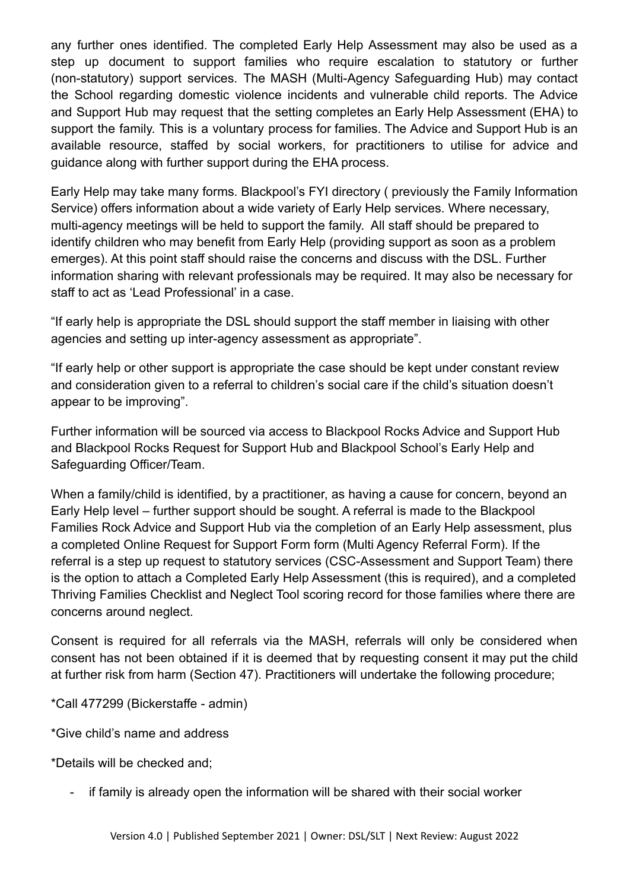any further ones identified. The completed Early Help Assessment may also be used as a step up document to support families who require escalation to statutory or further (non-statutory) support services. The MASH (Multi-Agency Safeguarding Hub) may contact the School regarding domestic violence incidents and vulnerable child reports. The Advice and Support Hub may request that the setting completes an Early Help Assessment (EHA) to support the family. This is a voluntary process for families. The Advice and Support Hub is an available resource, staffed by social workers, for practitioners to utilise for advice and guidance along with further support during the EHA process.

Early Help may take many forms. Blackpool's FYI directory ( previously the Family Information Service) offers information about a wide variety of Early Help services. Where necessary, multi-agency meetings will be held to support the family. All staff should be prepared to identify children who may benefit from Early Help (providing support as soon as a problem emerges). At this point staff should raise the concerns and discuss with the DSL. Further information sharing with relevant professionals may be required. It may also be necessary for staff to act as 'Lead Professional' in a case.

"If early help is appropriate the DSL should support the staff member in liaising with other agencies and setting up inter-agency assessment as appropriate".

"If early help or other support is appropriate the case should be kept under constant review and consideration given to a referral to children's social care if the child's situation doesn't appear to be improving".

Further information will be sourced via access to Blackpool Rocks Advice and Support Hub and Blackpool Rocks Request for Support Hub and Blackpool School's Early Help and Safeguarding Officer/Team.

When a family/child is identified, by a practitioner, as having a cause for concern, beyond an Early Help level – further support should be sought. A referral is made to the Blackpool Families Rock Advice and Support Hub via the completion of an Early Help assessment, plus a completed Online Request for Support Form form (Multi Agency Referral Form). If the referral is a step up request to statutory services (CSC-Assessment and Support Team) there is the option to attach a Completed Early Help Assessment (this is required), and a completed Thriving Families Checklist and Neglect Tool scoring record for those families where there are concerns around neglect.

Consent is required for all referrals via the MASH, referrals will only be considered when consent has not been obtained if it is deemed that by requesting consent it may put the child at further risk from harm (Section 47). Practitioners will undertake the following procedure;

\*Call 477299 (Bickerstaffe - admin)

\*Give child's name and address

\*Details will be checked and;

- if family is already open the information will be shared with their social worker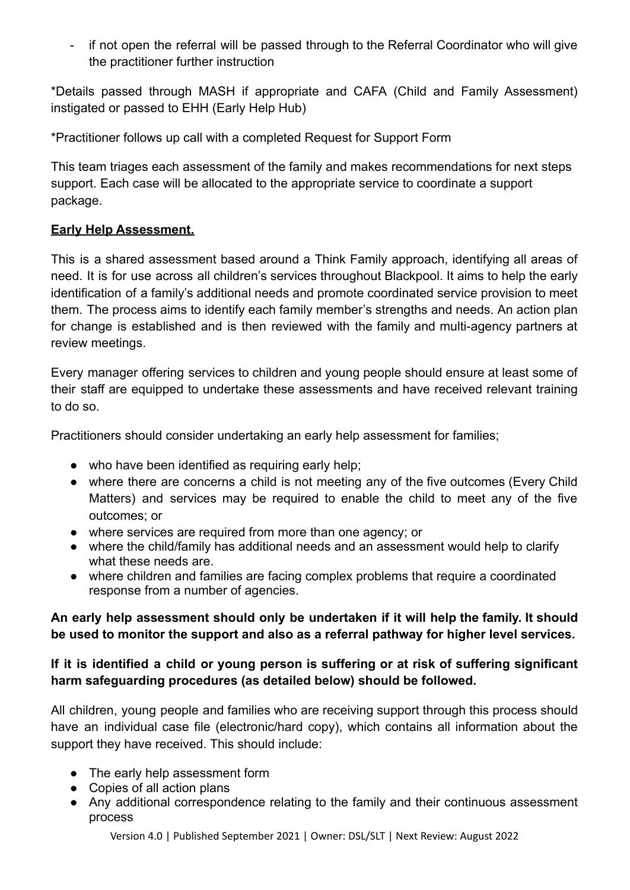- if not open the referral will be passed through to the Referral Coordinator who will give the practitioner further instruction

\*Details passed through MASH if appropriate and CAFA (Child and Family Assessment) instigated or passed to EHH (Early Help Hub)

\*Practitioner follows up call with a completed Request for Support Form

This team triages each assessment of the family and makes recommendations for next steps support. Each case will be allocated to the appropriate service to coordinate a support package.

### **Early Help Assessment.**

This is a shared assessment based around a Think Family approach, identifying all areas of need. It is for use across all children's services throughout Blackpool. It aims to help the early identification of a family's additional needs and promote coordinated service provision to meet them. The process aims to identify each family member's strengths and needs. An action plan for change is established and is then reviewed with the family and multi-agency partners at review meetings.

Every manager offering services to children and young people should ensure at least some of their staff are equipped to undertake these assessments and have received relevant training to do so.

Practitioners should consider undertaking an early help assessment for families;

- who have been identified as requiring early help;
- where there are concerns a child is not meeting any of the five outcomes (Every Child Matters) and services may be required to enable the child to meet any of the five outcomes; or
- where services are required from more than one agency; or
- where the child/family has additional needs and an assessment would help to clarify what these needs are.
- where children and families are facing complex problems that require a coordinated response from a number of agencies.

## **An early help assessment should only be undertaken if it will help the family. It should be used to monitor the support and also as a referral pathway for higher level services.**

## **If it is identified a child or young person is suffering or at risk of suffering significant harm safeguarding procedures (as detailed below) should be followed.**

All children, young people and families who are receiving support through this process should have an individual case file (electronic/hard copy), which contains all information about the support they have received. This should include:

- The early help assessment form
- Copies of all action plans
- Any additional correspondence relating to the family and their continuous assessment process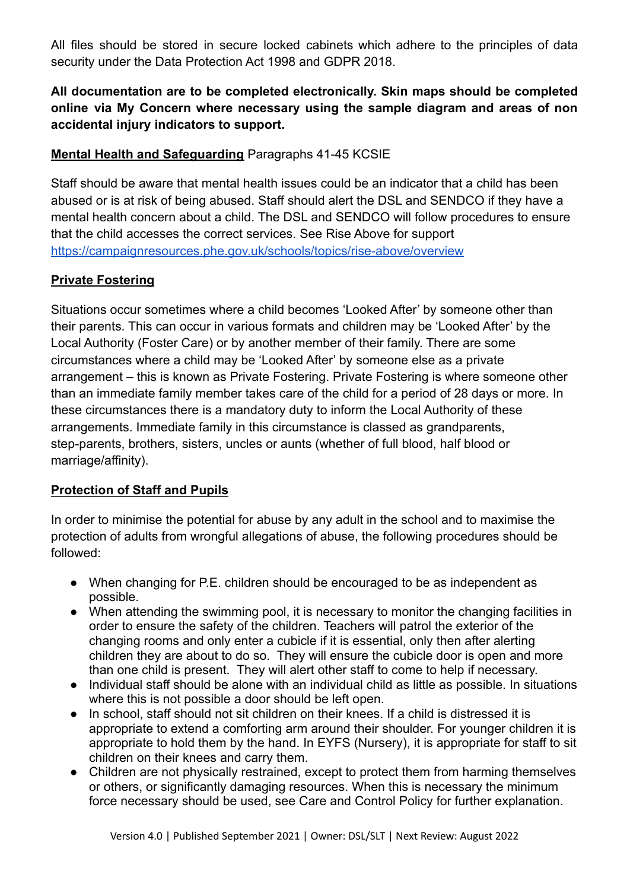All files should be stored in secure locked cabinets which adhere to the principles of data security under the Data Protection Act 1998 and GDPR 2018.

**All documentation are to be completed electronically. Skin maps should be completed online via My Concern where necessary using the sample diagram and areas of non accidental injury indicators to support.**

## **Mental Health and Safeguarding** Paragraphs 41-45 KCSIE

Staff should be aware that mental health issues could be an indicator that a child has been abused or is at risk of being abused. Staff should alert the DSL and SENDCO if they have a mental health concern about a child. The DSL and SENDCO will follow procedures to ensure that the child accesses the correct services. See Rise Above for support <https://campaignresources.phe.gov.uk/schools/topics/rise-above/overview>

### **Private Fostering**

Situations occur sometimes where a child becomes 'Looked After' by someone other than their parents. This can occur in various formats and children may be 'Looked After' by the Local Authority (Foster Care) or by another member of their family. There are some circumstances where a child may be 'Looked After' by someone else as a private arrangement – this is known as Private Fostering. Private Fostering is where someone other than an immediate family member takes care of the child for a period of 28 days or more. In these circumstances there is a mandatory duty to inform the Local Authority of these arrangements. Immediate family in this circumstance is classed as grandparents, step-parents, brothers, sisters, uncles or aunts (whether of full blood, half blood or marriage/affinity).

## **Protection of Staff and Pupils**

In order to minimise the potential for abuse by any adult in the school and to maximise the protection of adults from wrongful allegations of abuse, the following procedures should be followed:

- When changing for P.E. children should be encouraged to be as independent as possible.
- When attending the swimming pool, it is necessary to monitor the changing facilities in order to ensure the safety of the children. Teachers will patrol the exterior of the changing rooms and only enter a cubicle if it is essential, only then after alerting children they are about to do so. They will ensure the cubicle door is open and more than one child is present. They will alert other staff to come to help if necessary.
- Individual staff should be alone with an individual child as little as possible. In situations where this is not possible a door should be left open.
- In school, staff should not sit children on their knees. If a child is distressed it is appropriate to extend a comforting arm around their shoulder. For younger children it is appropriate to hold them by the hand. In EYFS (Nursery), it is appropriate for staff to sit children on their knees and carry them.
- Children are not physically restrained, except to protect them from harming themselves or others, or significantly damaging resources. When this is necessary the minimum force necessary should be used, see Care and Control Policy for further explanation.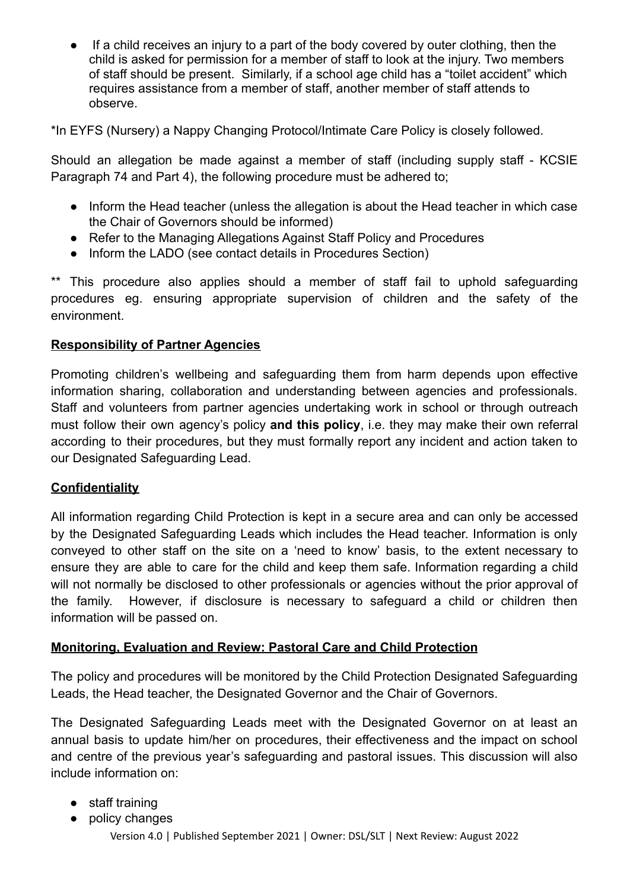If a child receives an injury to a part of the body covered by outer clothing, then the child is asked for permission for a member of staff to look at the injury. Two members of staff should be present. Similarly, if a school age child has a "toilet accident" which requires assistance from a member of staff, another member of staff attends to observe.

\*In EYFS (Nursery) a Nappy Changing Protocol/Intimate Care Policy is closely followed.

Should an allegation be made against a member of staff (including supply staff - KCSIE Paragraph 74 and Part 4), the following procedure must be adhered to;

- Inform the Head teacher (unless the allegation is about the Head teacher in which case the Chair of Governors should be informed)
- Refer to the Managing Allegations Against Staff Policy and Procedures
- Inform the LADO (see contact details in Procedures Section)

\*\* This procedure also applies should a member of staff fail to uphold safeguarding procedures eg. ensuring appropriate supervision of children and the safety of the environment.

## **Responsibility of Partner Agencies**

Promoting children's wellbeing and safeguarding them from harm depends upon effective information sharing, collaboration and understanding between agencies and professionals. Staff and volunteers from partner agencies undertaking work in school or through outreach must follow their own agency's policy **and this policy**, i.e. they may make their own referral according to their procedures, but they must formally report any incident and action taken to our Designated Safeguarding Lead.

#### **Confidentiality**

All information regarding Child Protection is kept in a secure area and can only be accessed by the Designated Safeguarding Leads which includes the Head teacher. Information is only conveyed to other staff on the site on a 'need to know' basis, to the extent necessary to ensure they are able to care for the child and keep them safe. Information regarding a child will not normally be disclosed to other professionals or agencies without the prior approval of the family. However, if disclosure is necessary to safeguard a child or children then information will be passed on.

## **Monitoring, Evaluation and Review: Pastoral Care and Child Protection**

The policy and procedures will be monitored by the Child Protection Designated Safeguarding Leads, the Head teacher, the Designated Governor and the Chair of Governors.

The Designated Safeguarding Leads meet with the Designated Governor on at least an annual basis to update him/her on procedures, their effectiveness and the impact on school and centre of the previous year's safeguarding and pastoral issues. This discussion will also include information on:

- staff training
- policy changes Version 4.0 | Published September 2021 | Owner: DSL/SLT | Next Review: August 2022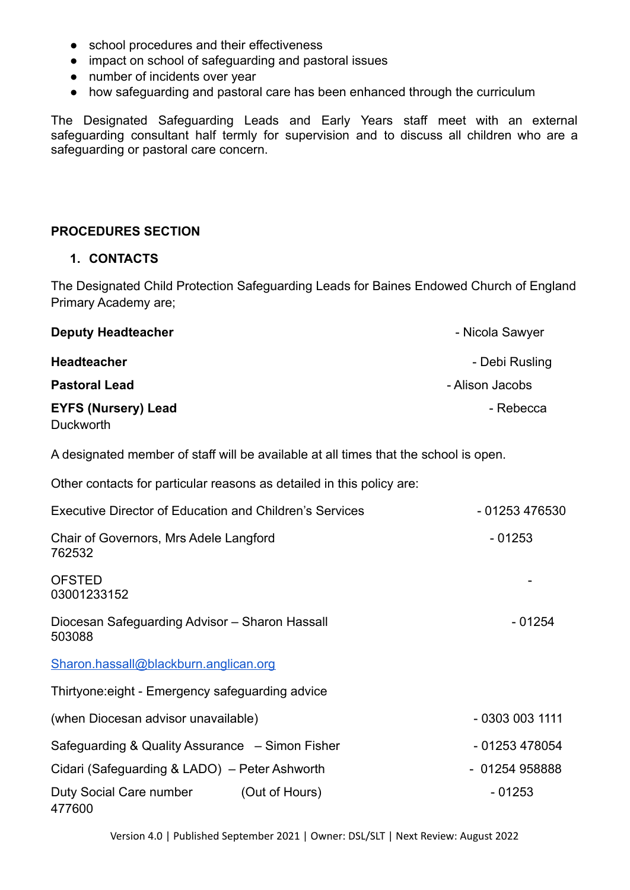- school procedures and their effectiveness
- impact on school of safeguarding and pastoral issues
- number of incidents over year
- how safeguarding and pastoral care has been enhanced through the curriculum

The Designated Safeguarding Leads and Early Years staff meet with an external safeguarding consultant half termly for supervision and to discuss all children who are a safeguarding or pastoral care concern.

#### **PROCEDURES SECTION**

#### **1. CONTACTS**

The Designated Child Protection Safeguarding Leads for Baines Endowed Church of England Primary Academy are;

| <b>Deputy Headteacher</b>               | - Nicola Sawyer |
|-----------------------------------------|-----------------|
| <b>Headteacher</b>                      | - Debi Rusling  |
| <b>Pastoral Lead</b>                    | - Alison Jacobs |
| <b>EYFS (Nursery) Lead</b><br>Duckworth | - Rebecca       |

A designated member of staff will be available at all times that the school is open.

| Other contacts for particular reasons as detailed in this policy are: |                |
|-----------------------------------------------------------------------|----------------|
| <b>Executive Director of Education and Children's Services</b>        | - 01253 476530 |
| Chair of Governors, Mrs Adele Langford<br>762532                      | $-01253$       |
| <b>OFSTED</b><br>03001233152                                          |                |
| Diocesan Safeguarding Advisor - Sharon Hassall<br>503088              | $-01254$       |
| Sharon.hassall@blackburn.anglican.org                                 |                |
| Thirtyone: eight - Emergency safeguarding advice                      |                |
| (when Diocesan advisor unavailable)                                   | $-03030031111$ |
| Safeguarding & Quality Assurance – Simon Fisher                       | - 01253 478054 |
| Cidari (Safeguarding & LADO) – Peter Ashworth                         | $-01254958888$ |
| Duty Social Care number<br>(Out of Hours)<br>477600                   | $-01253$       |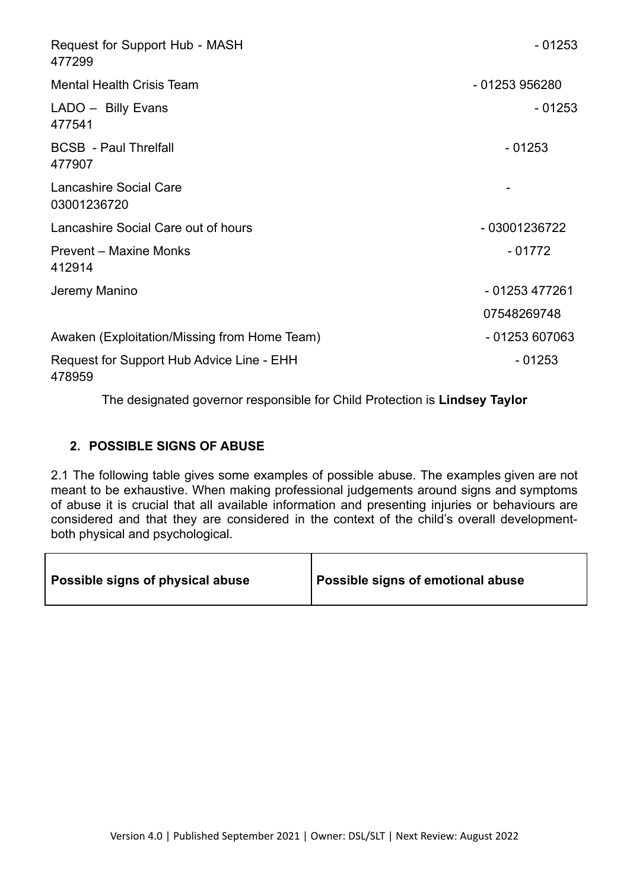| Request for Support Hub - MASH<br>477299            | $-01253$       |
|-----------------------------------------------------|----------------|
| <b>Mental Health Crisis Team</b>                    | - 01253 956280 |
| LADO - Billy Evans<br>477541                        | $-01253$       |
| <b>BCSB</b> - Paul Threlfall<br>477907              | $-01253$       |
| Lancashire Social Care<br>03001236720               |                |
| Lancashire Social Care out of hours                 | - 03001236722  |
| Prevent – Maxine Monks<br>412914                    | $-01772$       |
| Jeremy Manino                                       | - 01253 477261 |
|                                                     | 07548269748    |
| Awaken (Exploitation/Missing from Home Team)        | - 01253 607063 |
| Request for Support Hub Advice Line - EHH<br>478959 | - 01253        |

The designated governor responsible for Child Protection is **Lindsey Taylor**

### **2. POSSIBLE SIGNS OF ABUSE**

2.1 The following table gives some examples of possible abuse. The examples given are not meant to be exhaustive. When making professional judgements around signs and symptoms of abuse it is crucial that all available information and presenting injuries or behaviours are considered and that they are considered in the context of the child's overall developmentboth physical and psychological.

| Possible signs of physical abuse | I Possible signs of emotional abuse |
|----------------------------------|-------------------------------------|
|----------------------------------|-------------------------------------|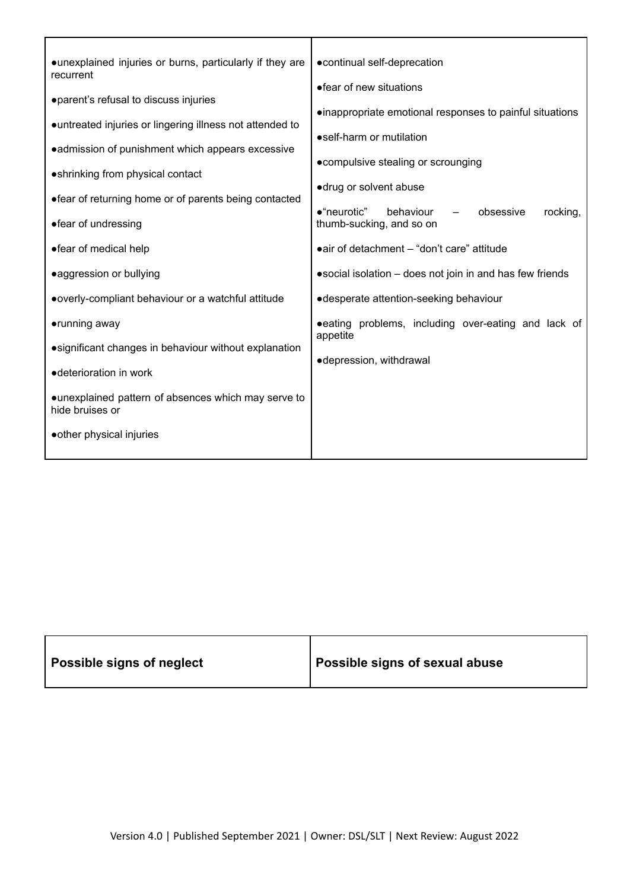| • unexplained injuries or burns, particularly if they are<br>recurrent<br>· parent's refusal to discuss injuries<br>• untreated injuries or lingering illness not attended to<br>• admission of punishment which appears excessive<br>• shrinking from physical contact<br>• fear of returning home or of parents being contacted<br>•"neurotic"<br>•fear of undressing<br>• fear of medical help<br>• aggression or bullying<br>• overly-compliant behaviour or a watchful attitude<br>•running away<br>appetite<br>• significant changes in behaviour without explanation<br>• deterioration in work | • continual self-deprecation<br>• fear of new situations<br>• inappropriate emotional responses to painful situations<br>•self-harm or mutilation<br>• compulsive stealing or scrounging<br>·drug or solvent abuse<br>rocking,<br>behaviour<br>obsessive<br>thumb-sucking, and so on<br>• air of detachment - "don't care" attitude<br>• social isolation – does not join in and has few friends<br>• desperate attention-seeking behaviour<br>• eating problems, including over-eating and lack of<br>•depression, withdrawal |
|--------------------------------------------------------------------------------------------------------------------------------------------------------------------------------------------------------------------------------------------------------------------------------------------------------------------------------------------------------------------------------------------------------------------------------------------------------------------------------------------------------------------------------------------------------------------------------------------------------|--------------------------------------------------------------------------------------------------------------------------------------------------------------------------------------------------------------------------------------------------------------------------------------------------------------------------------------------------------------------------------------------------------------------------------------------------------------------------------------------------------------------------------|
| • unexplained pattern of absences which may serve to<br>hide bruises or<br>• other physical injuries                                                                                                                                                                                                                                                                                                                                                                                                                                                                                                   |                                                                                                                                                                                                                                                                                                                                                                                                                                                                                                                                |

| Possible signs of neglect | Possible signs of sexual abuse |
|---------------------------|--------------------------------|
|---------------------------|--------------------------------|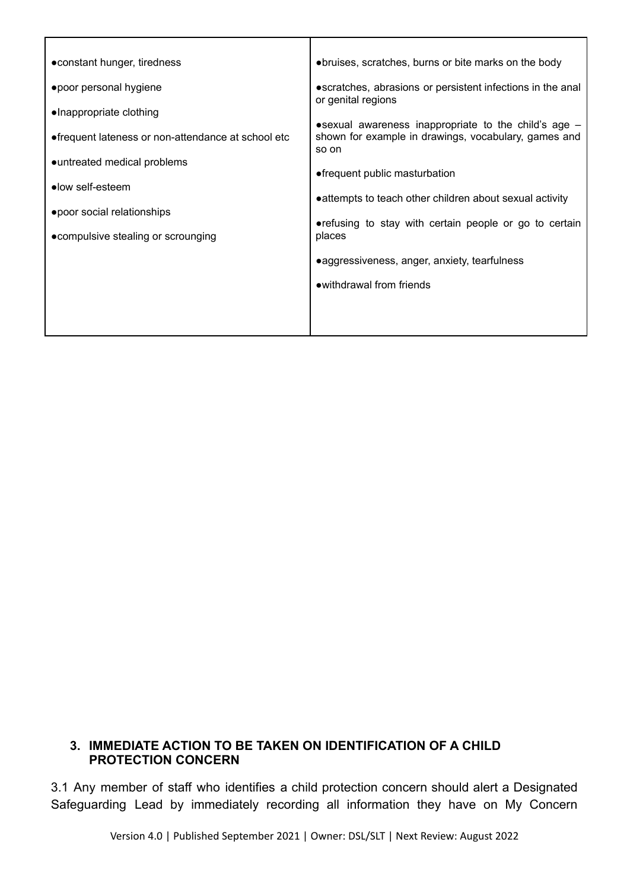| • constant hunger, tiredness                        | • bruises, scratches, burns or bite marks on the body                                                                            |
|-----------------------------------------------------|----------------------------------------------------------------------------------------------------------------------------------|
| • poor personal hygiene                             | • scratches, abrasions or persistent infections in the anal<br>or genital regions                                                |
| ·Inappropriate clothing                             |                                                                                                                                  |
| • frequent lateness or non-attendance at school etc | $\bullet$ sexual awareness inappropriate to the child's age $-$<br>shown for example in drawings, vocabulary, games and<br>so on |
| • untreated medical problems                        |                                                                                                                                  |
| •low self-esteem                                    | • frequent public masturbation<br>• attempts to teach other children about sexual activity                                       |
| ● poor social relationships                         |                                                                                                                                  |
| • compulsive stealing or scrounging                 | • refusing to stay with certain people or go to certain<br>places                                                                |
|                                                     | • aggressiveness, anger, anxiety, tearfulness                                                                                    |
|                                                     | • withdrawal from friends                                                                                                        |
|                                                     |                                                                                                                                  |

#### **3. IMMEDIATE ACTION TO BE TAKEN ON IDENTIFICATION OF A CHILD PROTECTION CONCERN**

3.1 Any member of staff who identifies a child protection concern should alert a Designated Safeguarding Lead by immediately recording all information they have on My Concern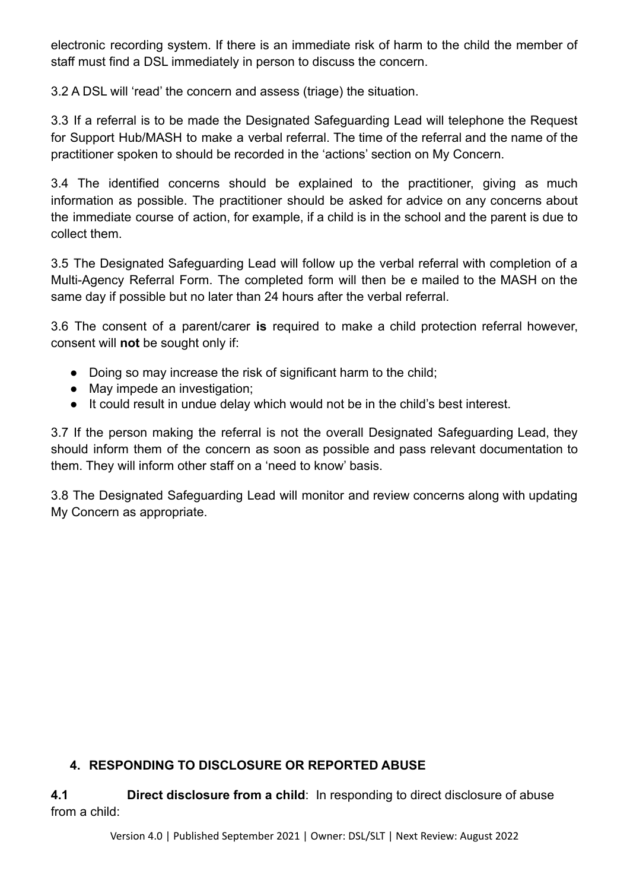electronic recording system. If there is an immediate risk of harm to the child the member of staff must find a DSL immediately in person to discuss the concern.

3.2 A DSL will 'read' the concern and assess (triage) the situation.

3.3 If a referral is to be made the Designated Safeguarding Lead will telephone the Request for Support Hub/MASH to make a verbal referral. The time of the referral and the name of the practitioner spoken to should be recorded in the 'actions' section on My Concern.

3.4 The identified concerns should be explained to the practitioner, giving as much information as possible. The practitioner should be asked for advice on any concerns about the immediate course of action, for example, if a child is in the school and the parent is due to collect them.

3.5 The Designated Safeguarding Lead will follow up the verbal referral with completion of a Multi-Agency Referral Form. The completed form will then be e mailed to the MASH on the same day if possible but no later than 24 hours after the verbal referral.

3.6 The consent of a parent/carer **is** required to make a child protection referral however, consent will **not** be sought only if:

- Doing so may increase the risk of significant harm to the child;
- May impede an investigation;
- It could result in undue delay which would not be in the child's best interest.

3.7 If the person making the referral is not the overall Designated Safeguarding Lead, they should inform them of the concern as soon as possible and pass relevant documentation to them. They will inform other staff on a 'need to know' basis.

3.8 The Designated Safeguarding Lead will monitor and review concerns along with updating My Concern as appropriate.

## **4. RESPONDING TO DISCLOSURE OR REPORTED ABUSE**

**4.1 Direct disclosure from a child**: In responding to direct disclosure of abuse from a child: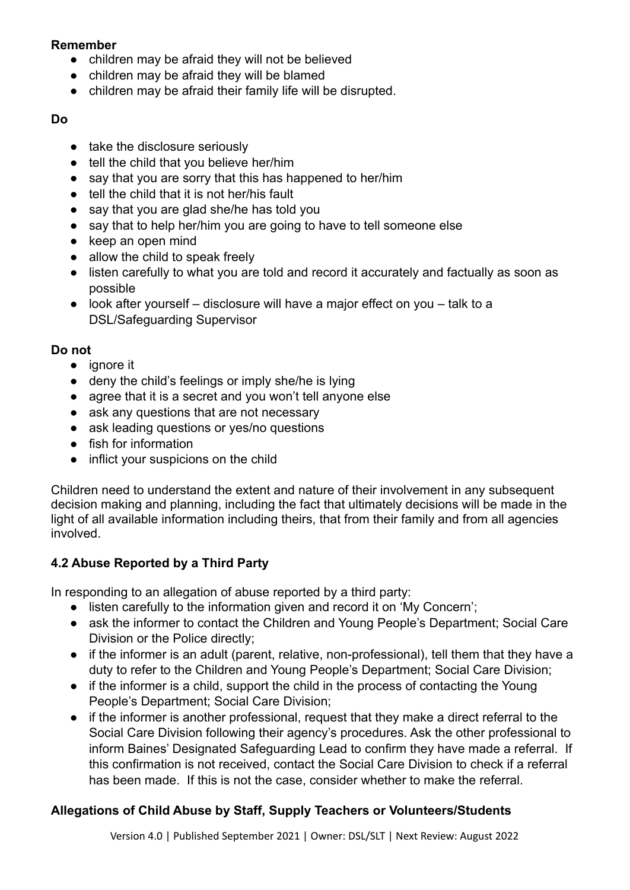#### **Remember**

- children may be afraid they will not be believed
- children may be afraid they will be blamed
- children may be afraid their family life will be disrupted.

### **Do**

- take the disclosure seriously
- tell the child that you believe her/him
- say that you are sorry that this has happened to her/him
- tell the child that it is not her/his fault
- say that you are glad she/he has told you
- say that to help her/him you are going to have to tell someone else
- keep an open mind
- allow the child to speak freely
- listen carefully to what you are told and record it accurately and factually as soon as possible
- $\bullet$  look after yourself disclosure will have a major effect on you talk to a DSL/Safeguarding Supervisor

### **Do not**

- ignore it
- deny the child's feelings or imply she/he is lying
- agree that it is a secret and you won't tell anyone else
- ask any questions that are not necessary
- ask leading questions or yes/no questions
- fish for information
- inflict your suspicions on the child

Children need to understand the extent and nature of their involvement in any subsequent decision making and planning, including the fact that ultimately decisions will be made in the light of all available information including theirs, that from their family and from all agencies involved.

## **4.2 Abuse Reported by a Third Party**

In responding to an allegation of abuse reported by a third party:

- listen carefully to the information given and record it on 'My Concern';
- ask the informer to contact the Children and Young People's Department; Social Care Division or the Police directly;
- if the informer is an adult (parent, relative, non-professional), tell them that they have a duty to refer to the Children and Young People's Department; Social Care Division;
- if the informer is a child, support the child in the process of contacting the Young People's Department; Social Care Division;
- if the informer is another professional, request that they make a direct referral to the Social Care Division following their agency's procedures. Ask the other professional to inform Baines' Designated Safeguarding Lead to confirm they have made a referral. If this confirmation is not received, contact the Social Care Division to check if a referral has been made. If this is not the case, consider whether to make the referral.

## **Allegations of Child Abuse by Staff, Supply Teachers or Volunteers/Students**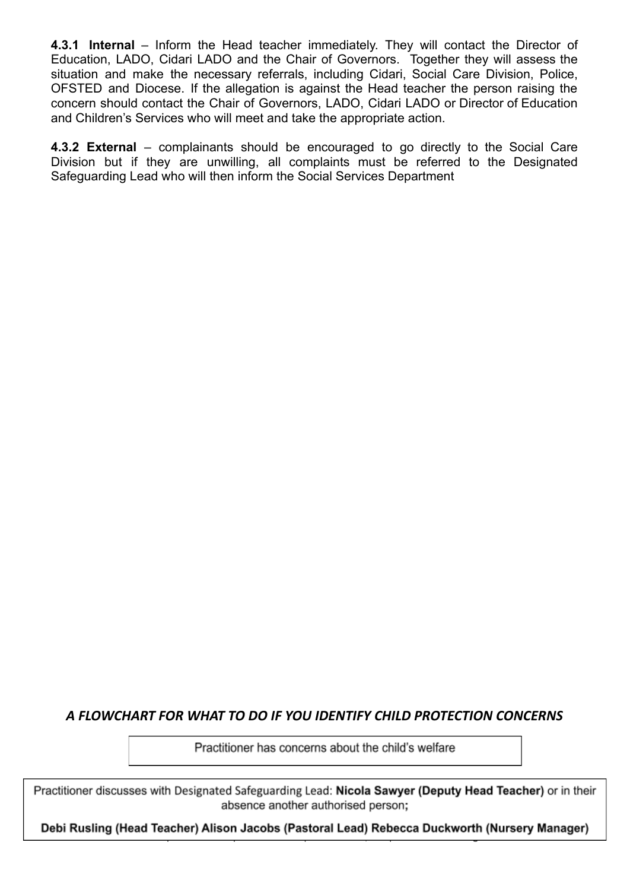**4.3.1 Internal** – Inform the Head teacher immediately. They will contact the Director of Education, LADO, Cidari LADO and the Chair of Governors. Together they will assess the situation and make the necessary referrals, including Cidari, Social Care Division, Police, OFSTED and Diocese. If the allegation is against the Head teacher the person raising the concern should contact the Chair of Governors, LADO, Cidari LADO or Director of Education and Children's Services who will meet and take the appropriate action.

**4.3.2 External** – complainants should be encouraged to go directly to the Social Care Division but if they are unwilling, all complaints must be referred to the Designated Safeguarding Lead who will then inform the Social Services Department

## *A FLOWCHART FOR WHAT TO DO IF YOU IDENTIFY CHILD PROTECTION CONCERNS*

Practitioner has concerns about the child's welfare

Practitioner discusses with Designated Safeguarding Lead: Nicola Sawyer (Deputy Head Teacher) or in their absence another authorised person;

Debi Rusling (Head Teacher) Alison Jacobs (Pastoral Lead) Rebecca Duckworth (Nursery Manager)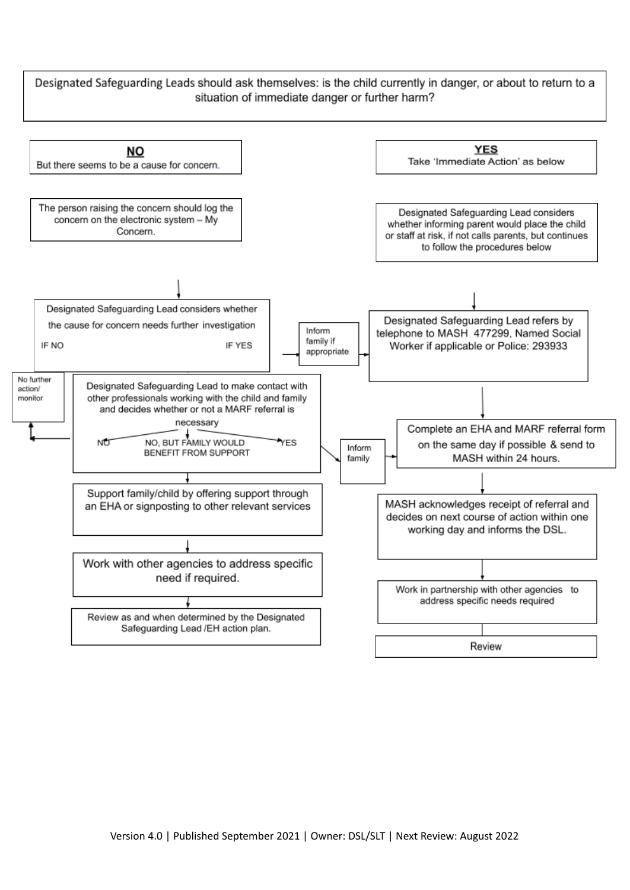Designated Safeguarding Leads should ask themselves: is the child currently in danger, or about to return to a situation of immediate danger or further harm?

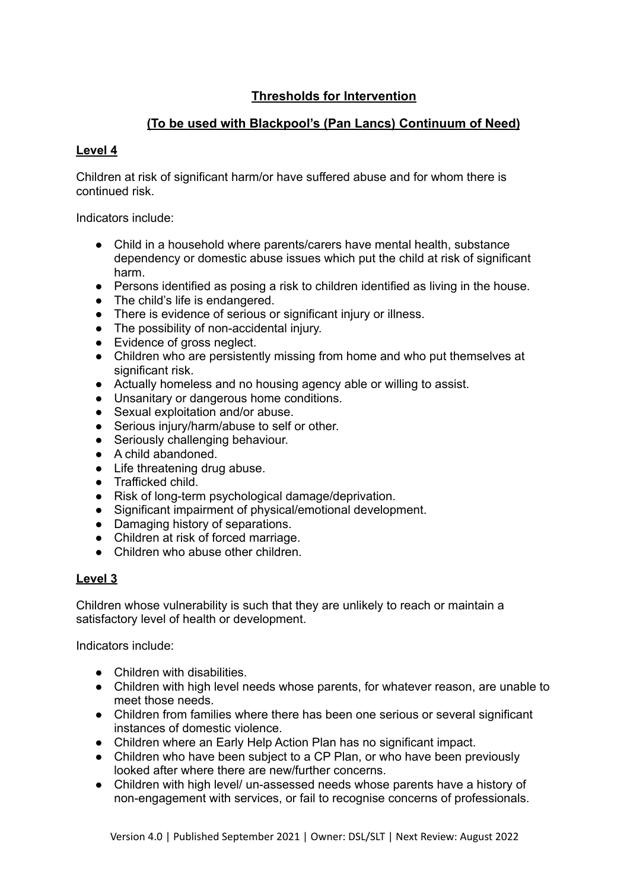## **Thresholds for Intervention**

### **(To be used with Blackpool's (Pan Lancs) Continuum of Need)**

#### **Level 4**

Children at risk of significant harm/or have suffered abuse and for whom there is continued risk.

Indicators include:

- Child in a household where parents/carers have mental health, substance dependency or domestic abuse issues which put the child at risk of significant harm.
- Persons identified as posing a risk to children identified as living in the house.
- The child's life is endangered.
- There is evidence of serious or significant injury or illness.
- The possibility of non-accidental injury.
- Evidence of gross neglect.
- Children who are persistently missing from home and who put themselves at significant risk.
- Actually homeless and no housing agency able or willing to assist.
- Unsanitary or dangerous home conditions.
- Sexual exploitation and/or abuse.
- Serious injury/harm/abuse to self or other.
- Seriously challenging behaviour.
- A child abandoned.
- Life threatening drug abuse.
- Trafficked child.
- Risk of long-term psychological damage/deprivation.
- Significant impairment of physical/emotional development.
- Damaging history of separations.
- Children at risk of forced marriage.
- Children who abuse other children.

#### **Level 3**

Children whose vulnerability is such that they are unlikely to reach or maintain a satisfactory level of health or development.

Indicators include:

- Children with disabilities.
- Children with high level needs whose parents, for whatever reason, are unable to meet those needs.
- Children from families where there has been one serious or several significant instances of domestic violence.
- Children where an Early Help Action Plan has no significant impact.
- Children who have been subject to a CP Plan, or who have been previously looked after where there are new/further concerns.
- Children with high level/ un-assessed needs whose parents have a history of non-engagement with services, or fail to recognise concerns of professionals.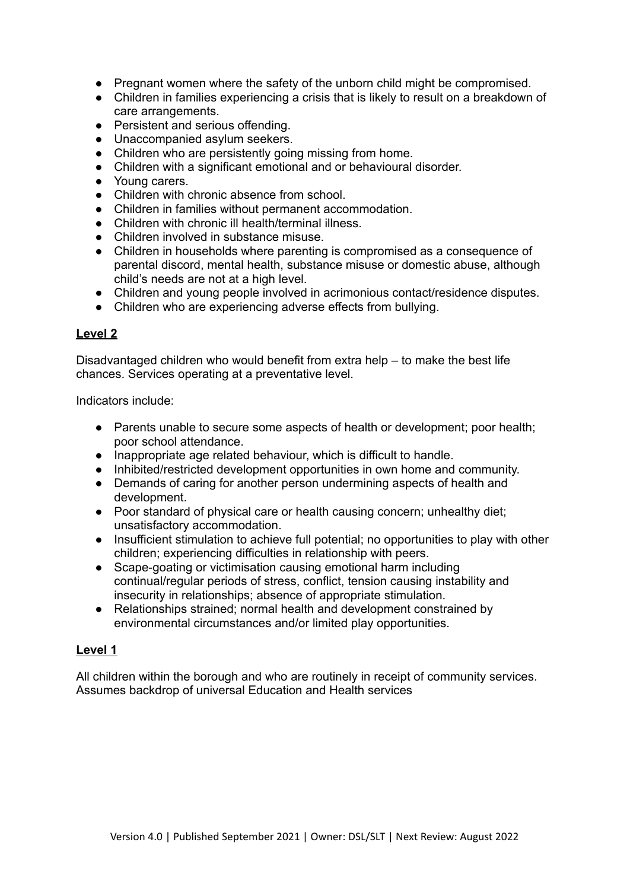- Pregnant women where the safety of the unborn child might be compromised.
- Children in families experiencing a crisis that is likely to result on a breakdown of care arrangements.
- Persistent and serious offending.
- Unaccompanied asylum seekers.
- Children who are persistently going missing from home.
- Children with a significant emotional and or behavioural disorder.
- Young carers.
- Children with chronic absence from school.
- Children in families without permanent accommodation.
- Children with chronic ill health/terminal illness.
- Children involved in substance misuse.
- Children in households where parenting is compromised as a consequence of parental discord, mental health, substance misuse or domestic abuse, although child's needs are not at a high level.
- Children and young people involved in acrimonious contact/residence disputes.
- Children who are experiencing adverse effects from bullying.

#### **Level 2**

Disadvantaged children who would benefit from extra help – to make the best life chances. Services operating at a preventative level.

Indicators include:

- Parents unable to secure some aspects of health or development; poor health; poor school attendance.
- Inappropriate age related behaviour, which is difficult to handle.
- Inhibited/restricted development opportunities in own home and community.
- Demands of caring for another person undermining aspects of health and development.
- Poor standard of physical care or health causing concern; unhealthy diet; unsatisfactory accommodation.
- Insufficient stimulation to achieve full potential; no opportunities to play with other children; experiencing difficulties in relationship with peers.
- Scape-goating or victimisation causing emotional harm including continual/regular periods of stress, conflict, tension causing instability and insecurity in relationships; absence of appropriate stimulation.
- Relationships strained; normal health and development constrained by environmental circumstances and/or limited play opportunities.

#### **Level 1**

All children within the borough and who are routinely in receipt of community services. Assumes backdrop of universal Education and Health services